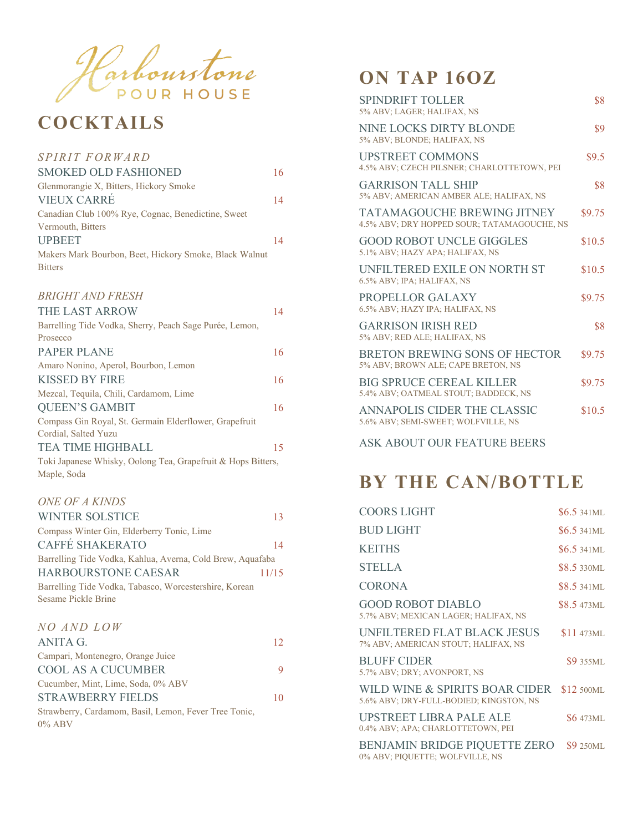

## **COCKTAILS**

#### *SPIRIT FORWARD*

| <b>SMOKED OLD FASHIONED</b>                            | 16 |
|--------------------------------------------------------|----|
| Glenmorangie X, Bitters, Hickory Smoke                 |    |
| <b>VIEUX CARRÉ</b>                                     | 14 |
| Canadian Club 100% Rye, Cognac, Benedictine, Sweet     |    |
| Vermouth, Bitters                                      |    |
| <b>UPBEET</b>                                          | 14 |
| Makers Mark Bourbon, Beet, Hickory Smoke, Black Walnut |    |
| <b>Bitters</b>                                         |    |
|                                                        |    |

#### *BRIGHT AND FRESH*

| <b>THE LAST ARROW</b>                                        | 14 |
|--------------------------------------------------------------|----|
| Barrelling Tide Vodka, Sherry, Peach Sage Purée, Lemon,      |    |
| Prosecco                                                     |    |
| <b>PAPER PLANE</b>                                           | 16 |
| Amaro Nonino, Aperol, Bourbon, Lemon                         |    |
| KISSED BY FIRE                                               | 16 |
| Mezcal, Tequila, Chili, Cardamom, Lime                       |    |
| <b>QUEEN'S GAMBIT</b>                                        | 16 |
| Compass Gin Royal, St. Germain Elderflower, Grapefruit       |    |
| Cordial, Salted Yuzu                                         |    |
| TEA TIME HIGHBALL                                            | 15 |
| Toki Japanese Whisky, Oolong Tea, Grapefruit & Hops Bitters, |    |
| Maple, Soda                                                  |    |

#### *ONE OF A KINDS*

| <b>WINTER SOLSTICE</b>                                     | 13    |
|------------------------------------------------------------|-------|
| Compass Winter Gin, Elderberry Tonic, Lime                 |       |
| <b>CAFFÉ SHAKERATO</b>                                     | 14    |
| Barrelling Tide Vodka, Kahlua, Averna, Cold Brew, Aquafaba |       |
| <b>HARBOURSTONE CAESAR</b>                                 | 11/15 |
| Barrelling Tide Vodka, Tabasco, Worcestershire, Korean     |       |
| Sesame Pickle Brine                                        |       |
|                                                            |       |
| NO AND LOW                                                 |       |

| ANITA G.                                              | 12 |
|-------------------------------------------------------|----|
| Campari, Montenegro, Orange Juice                     |    |
| <b>COOL AS A CUCUMBER</b>                             | 9  |
| Cucumber, Mint, Lime, Soda, 0% ABV                    |    |
| <b>STRAWBERRY FIELDS</b>                              | 10 |
| Strawberry, Cardamom, Basil, Lemon, Fever Tree Tonic, |    |
| $0\%$ ABV                                             |    |

## **ON TAP 16OZ**

| SPINDRIFT TOLLER<br>5% ABV; LAGER; HALIFAX, NS                             | \$8    |
|----------------------------------------------------------------------------|--------|
| NINE LOCKS DIRTY BLONDE<br>5% ABV; BLONDE; HALIFAX, NS                     | \$9    |
| <b>UPSTREET COMMONS</b><br>4.5% ABV; CZECH PILSNER; CHARLOTTETOWN, PEI     | \$9.5  |
| <b>GARRISON TALL SHIP</b><br>5% ABV; AMERICAN AMBER ALE; HALIFAX, NS       | \$8    |
| TATAMAGOUCHE BREWING JITNEY<br>4.5% ABV; DRY HOPPED SOUR; TATAMAGOUCHE, NS | \$9.75 |
| <b>GOOD ROBOT UNCLE GIGGLES</b><br>5.1% ABV; HAZY APA; HALIFAX, NS         | \$10.5 |
| UNFILTERED EXILE ON NORTH ST<br>6.5% ABV; IPA; HALIFAX, NS                 | \$10.5 |
| PROPELLOR GALAXY<br>6.5% ABV; HAZY IPA; HALIFAX, NS                        | \$9.75 |
| <b>GARRISON IRISH RED</b><br>5% ABV; RED ALE; HALIFAX, NS                  | \$8    |
| BRETON BREWING SONS OF HECTOR<br>5% ABV; BROWN ALE; CAPE BRETON, NS        | \$9.75 |
| <b>BIG SPRUCE CEREAL KILLER</b><br>5.4% ABV; OATMEAL STOUT; BADDECK, NS    | \$9.75 |
| ANNAPOLIS CIDER THE CLASSIC<br>5.6% ABV; SEMI-SWEET; WOLFVILLE, NS         | \$10.5 |

ASK ABOUT OUR FEATURE BEERS

## **BY THE CAN/BOTTLE**

| <b>COORS LIGHT</b>                                                        | $$6.5\,341$ ML     |
|---------------------------------------------------------------------------|--------------------|
| <b>BUD LIGHT</b>                                                          | $$6.5\,341$ ML     |
| <b>KEITHS</b>                                                             | $$6.5\,341$ ML     |
| <b>STELLA</b>                                                             | <b>\$8.5 330ML</b> |
| <b>CORONA</b>                                                             | <b>\$8.5</b> 341ML |
| <b>GOOD ROBOT DIABLO</b><br>5.7% ABV; MEXICAN LAGER; HALIFAX, NS          | <b>S8.5 473ML</b>  |
| UNFILTERED FLAT BLACK JESUS<br>7% ABV; AMERICAN STOUT; HALIFAX, NS        | <b>\$11</b> 473ML  |
| <b>BLUFF CIDER</b><br>5.7% ABV; DRY; AVONPORT, NS                         | <b>\$9355ML</b>    |
| WILD WINE & SPIRITS BOAR CIDER<br>5.6% ABV; DRY-FULL-BODIED; KINGSTON, NS | \$12 500ML         |
| UPSTREET LIBRA PALE ALE<br>0.4% ABV; APA; CHARLOTTETOWN, PEI              | <b>\$6473ML</b>    |
| BENJAMIN BRIDGE PIQUETTE ZERO<br>0% ABV; PIQUETTE; WOLFVILLE, NS          | <b>\$9 250ML</b>   |